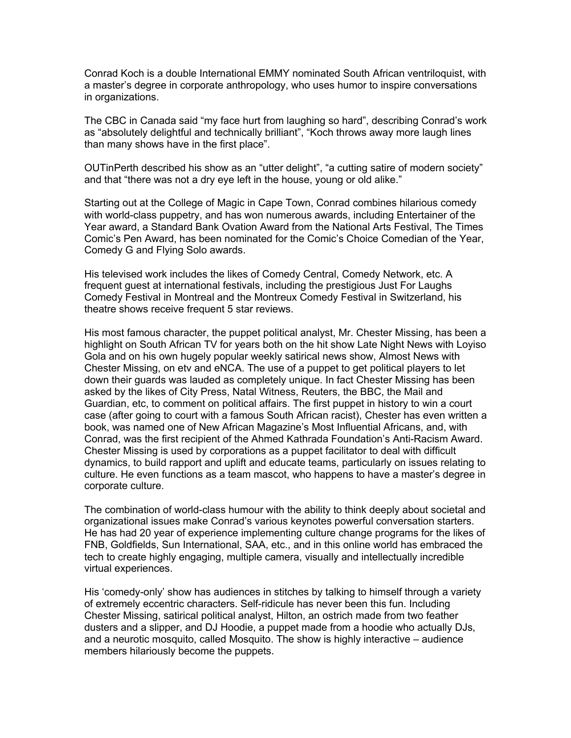Conrad Koch is a double International EMMY nominated South African ventriloquist, with a master's degree in corporate anthropology, who uses humor to inspire conversations in organizations.

The CBC in Canada said "my face hurt from laughing so hard", describing Conrad's work as "absolutely delightful and technically brilliant", "Koch throws away more laugh lines than many shows have in the first place".

OUTinPerth described his show as an "utter delight", "a cutting satire of modern society" and that "there was not a dry eye left in the house, young or old alike."

Starting out at the College of Magic in Cape Town, Conrad combines hilarious comedy with world-class puppetry, and has won numerous awards, including Entertainer of the Year award, a Standard Bank Ovation Award from the National Arts Festival, The Times Comic's Pen Award, has been nominated for the Comic's Choice Comedian of the Year, Comedy G and Flying Solo awards.

His televised work includes the likes of Comedy Central, Comedy Network, etc. A frequent guest at international festivals, including the prestigious Just For Laughs Comedy Festival in Montreal and the Montreux Comedy Festival in Switzerland, his theatre shows receive frequent 5 star reviews.

His most famous character, the puppet political analyst, Mr. Chester Missing, has been a highlight on South African TV for years both on the hit show Late Night News with Loyiso Gola and on his own hugely popular weekly satirical news show, Almost News with Chester Missing, on etv and eNCA. The use of a puppet to get political players to let down their guards was lauded as completely unique. In fact Chester Missing has been asked by the likes of City Press, Natal Witness, Reuters, the BBC, the Mail and Guardian, etc, to comment on political affairs. The first puppet in history to win a court case (after going to court with a famous South African racist), Chester has even written a book, was named one of New African Magazine's Most Influential Africans, and, with Conrad, was the first recipient of the Ahmed Kathrada Foundation's Anti-Racism Award. Chester Missing is used by corporations as a puppet facilitator to deal with difficult dynamics, to build rapport and uplift and educate teams, particularly on issues relating to culture. He even functions as a team mascot, who happens to have a master's degree in corporate culture.

The combination of world-class humour with the ability to think deeply about societal and organizational issues make Conrad's various keynotes powerful conversation starters. He has had 20 year of experience implementing culture change programs for the likes of FNB, Goldfields, Sun International, SAA, etc., and in this online world has embraced the tech to create highly engaging, multiple camera, visually and intellectually incredible virtual experiences.

His 'comedy-only' show has audiences in stitches by talking to himself through a variety of extremely eccentric characters. Self-ridicule has never been this fun. Including Chester Missing, satirical political analyst, Hilton, an ostrich made from two feather dusters and a slipper, and DJ Hoodie, a puppet made from a hoodie who actually DJs, and a neurotic mosquito, called Mosquito. The show is highly interactive – audience members hilariously become the puppets.